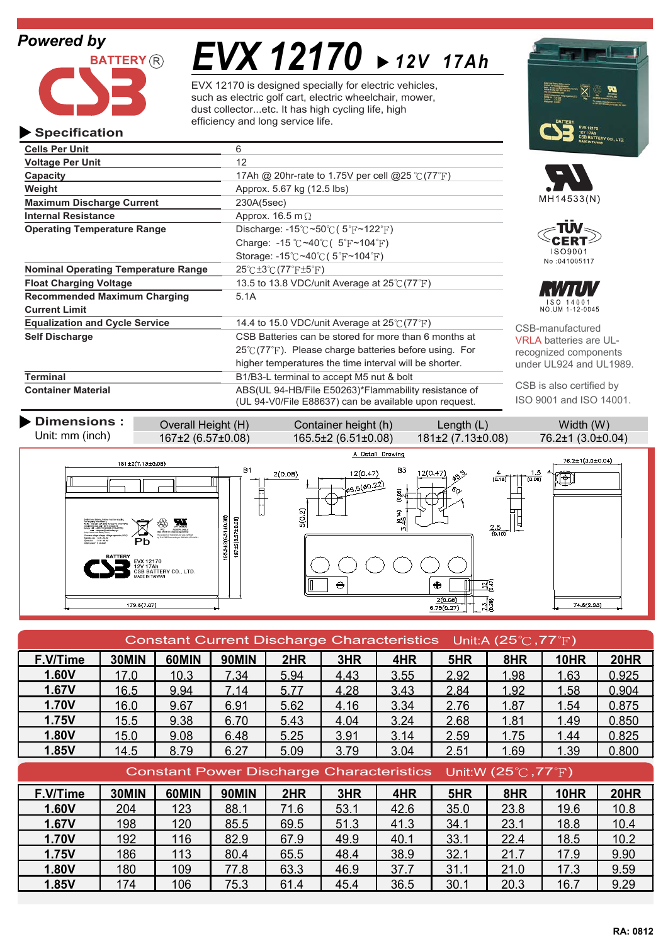## *Powered by*

**Specification**



**Operating Temperature Range**

**Current Limit**

**Cells Per Unit** 6 **Voltage Per Unit** 12

**Maximum Discharge Current** 230A(5sec) **Internal Resistance** Approx. 16.5 m  $\Omega$ 

**Recommended Maximum Charging** 5.1A

*EVX 12170 12V 17Ah*

EVX 12170 is designed specially for electric vehicles, such as electric golf cart, electric wheelchair, mower, dust collector...etc. It has high cycling life, high efficiency and long service life.

> Discharge:  $-15^{\circ}$ C ~50 $^{\circ}$ C (5 $^{\circ}$ F ~122 $^{\circ}$ F) Charge:  $-15 \degree C \sim 40 \degree C$  ( $5 \degree F \sim 104 \degree F$ ) Storage: -15 $\degree$ C ~40 $\degree$ C (5 $\degree$ F ~104 $\degree$ F)

**Capacity** 17Ah @ 20hr-rate to 1.75V per cell @25 °C (77 <sup>°</sup>F)

**Float Charging Voltage** 13.5 to 13.8 VDC/unit Average at 25°C (77°F)

**Equalization and Cycle Service** 14.4 to 15.0 VDC/unit Average at 25°C (77°F)

**Terminal** B1/B3-L terminal to accept M5 nut & bolt

**Self Discharge** CSB Batteries can be stored for more than 6 months at

**Container Material <b>ABS**(UL 94-HB/File E50263)\*Flammability resistance of

**Weight Approx.** 5.67 kg (12.5 lbs)

**Nominal Operating Temperature Range 25°C±3°C (77°F±5°F)** 









CSB-manufactured VRLA batteries are ULrecognized components under UL924 and UL1989.

CSB is also certified by ISO 9001 and ISO 14001.



 $25^{\circ}$  (77 $^{\circ}$ F). Please charge batteries before using. For higher temperatures the time interval will be shorter.

| Constant Current Discharge Characteristics Unit:A (25 $\degree$ C, 77 $\degree$ F) |       |       |       |      |      |      |      |      |             |             |
|------------------------------------------------------------------------------------|-------|-------|-------|------|------|------|------|------|-------------|-------------|
| F.V/Time                                                                           | 30MIN | 60MIN | 90MIN | 2HR  | 3HR  | 4HR  | 5HR  | 8HR  | <b>10HR</b> | <b>20HR</b> |
| 1.60V                                                                              | 17.0  | 10.3  | 7.34  | 5.94 | 4.43 | 3.55 | 2.92 | 1.98 | 1.63        | 0.925       |
| 1.67V                                                                              | 16.5  | 9.94  | 7.14  | 5.77 | 4.28 | 3.43 | 2.84 | 1.92 | 1.58        | 0.904       |
| <b>1.70V</b>                                                                       | 16.0  | 9.67  | 6.91  | 5.62 | 4.16 | 3.34 | 2.76 | 1.87 | 1.54        | 0.875       |
| 1.75V                                                                              | 15.5  | 9.38  | 6.70  | 5.43 | 4.04 | 3.24 | 2.68 | 1.81 | 1.49        | 0.850       |
| 1.80V                                                                              | 15.0  | 9.08  | 6.48  | 5.25 | 3.91 | 3.14 | 2.59 | 1.75 | 1.44        | 0.825       |
| 1.85V                                                                              | 14.5  | 8.79  | 6.27  | 5.09 | 3.79 | 3.04 | 2.51 | 1.69 | 1.39        | 0.800       |
| Constant Power Discharge Characteristics Unit:W (25 $\degree$ C, 77 $\degree$ F)   |       |       |       |      |      |      |      |      |             |             |
| F.V/Time                                                                           | 30MIN | 60MIN | 90MIN | 2HR  | 3HR  | 4HR  | 5HR  | 8HR  | <b>10HR</b> | <b>20HR</b> |
| 1.60V                                                                              | 204   | 123   | 88.1  | 71.6 | 53.1 | 42.6 | 35.0 | 23.8 | 19.6        | 10.8        |
| 1.67V                                                                              | 198   | 120   | 85.5  | 69.5 | 51.3 | 41.3 | 34.1 | 23.1 | 18.8        | 10.4        |
| 1.70V                                                                              | 192   | 116   | 82.9  | 67.9 | 49.9 | 40.1 | 33.1 | 22.4 | 18.5        | 10.2        |
| 1.75V                                                                              | 186   | 113   | 80.4  | 65.5 | 48.4 | 38.9 | 32.1 | 21.7 | 17.9        | 9.90        |
| 1.80V                                                                              | 180   | 109   | 77.8  | 63.3 | 46.9 | 37.7 | 31.1 | 21.0 | 17.3        | 9.59        |
| 1.85V                                                                              | 174   | 106   | 75.3  | 61.4 | 45.4 | 36.5 | 30.1 | 20.3 | 16.7        | 9.29        |